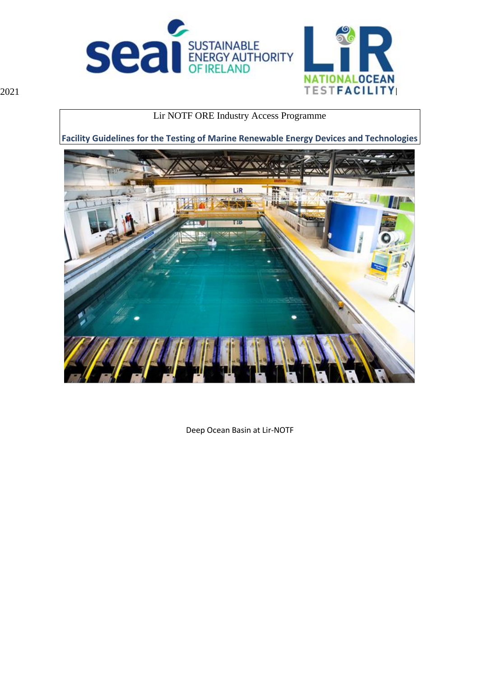



Lir NOTF ORE Industry Access Programme

**Facility Guidelines for the Testing of Marine Renewable Energy Devices and Technologies**



Deep Ocean Basin at Lir-NOTF

2021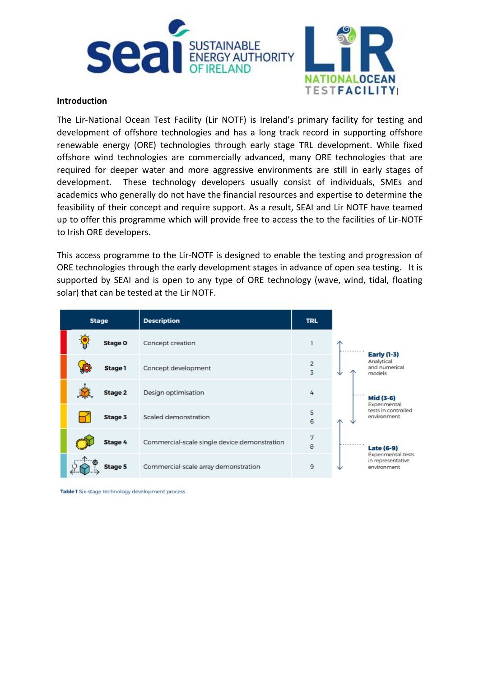



## **Introduction**

The Lir-National Ocean Test Facility (Lir NOTF) is Ireland's primary facility for testing and development of offshore technologies and has a long track record in supporting offshore renewable energy (ORE) technologies through early stage TRL development. While fixed offshore wind technologies are commercially advanced, many ORE technologies that are required for deeper water and more aggressive environments are still in early stages of development. These technology developers usually consist of individuals, SMEs and academics who generally do not have the financial resources and expertise to determine the feasibility of their concept and require support. As a result, SEAI and Lir NOTF have teamed up to offer this programme which will provide free to access the to the facilities of Lir-NOTF to Irish ORE developers.

This access programme to the Lir-NOTF is designed to enable the testing and progression of ORE technologies through the early development stages in advance of open sea testing. It is supported by SEAI and is open to any type of ORE technology (wave, wind, tidal, floating solar) that can be tested at the Lir NOTF.

| <b>Stage</b> |                       | <b>Description</b>                           | <b>TRL</b>          |                                                               |
|--------------|-----------------------|----------------------------------------------|---------------------|---------------------------------------------------------------|
|              | <b>Stage O</b>        | Concept creation                             |                     | .<br><b>Early (1-3)</b>                                       |
|              | ĘÖ,<br><b>Stage 1</b> | Concept development                          | $\overline{2}$<br>3 | Analytical<br>and numerical<br>models<br>◡                    |
|              | <b>Stage 2</b>        | Design optimisation                          | 4                   | Mid (3-6)<br>Experimental                                     |
|              | Stage 3               | Scaled demonstration                         | 5<br>6              | tests in controlled<br>environment                            |
|              | <b>Stage 4</b>        | Commercial-scale single device demonstration | 7<br>8              | .<br>Late (6-9)                                               |
|              | <b>Stage 5</b>        | Commercial-scale array demonstration         | 9                   | <b>Experimental tests</b><br>in representative<br>environment |

Table 1 Six-stage technology development process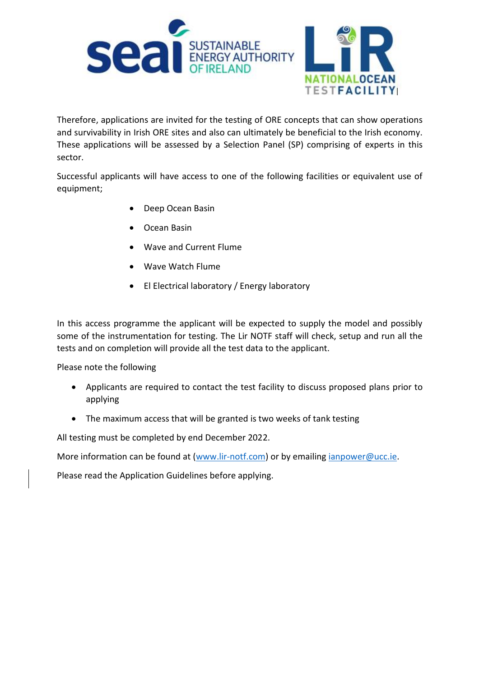

Therefore, applications are invited for the testing of ORE concepts that can show operations and survivability in Irish ORE sites and also can ultimately be beneficial to the Irish economy. These applications will be assessed by a Selection Panel (SP) comprising of experts in this sector.

Successful applicants will have access to one of the following facilities or equivalent use of equipment;

- Deep Ocean Basin
- Ocean Basin
- Wave and Current Flume
- Wave Watch Flume
- El Electrical laboratory / Energy laboratory

In this access programme the applicant will be expected to supply the model and possibly some of the instrumentation for testing. The Lir NOTF staff will check, setup and run all the tests and on completion will provide all the test data to the applicant.

Please note the following

- Applicants are required to contact the test facility to discuss proposed plans prior to applying
- The maximum access that will be granted is two weeks of tank testing

All testing must be completed by end December 2022.

More information can be found at [\(www.lir-notf.com\)](http://www.lir-notf.com/) or by emailing [ianpower@ucc.ie.](mailto:ianpower@ucc.ie)

Please read the Application Guidelines before applying.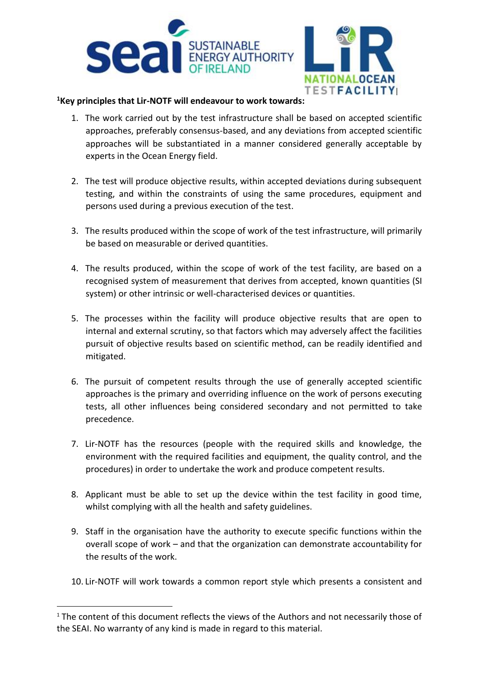



## **<sup>1</sup>Key principles that Lir-NOTF will endeavour to work towards:**

- 1. The work carried out by the test infrastructure shall be based on accepted scientific approaches, preferably consensus-based, and any deviations from accepted scientific approaches will be substantiated in a manner considered generally acceptable by experts in the Ocean Energy field.
- 2. The test will produce objective results, within accepted deviations during subsequent testing, and within the constraints of using the same procedures, equipment and persons used during a previous execution of the test.
- 3. The results produced within the scope of work of the test infrastructure, will primarily be based on measurable or derived quantities.
- 4. The results produced, within the scope of work of the test facility, are based on a recognised system of measurement that derives from accepted, known quantities (SI system) or other intrinsic or well-characterised devices or quantities.
- 5. The processes within the facility will produce objective results that are open to internal and external scrutiny, so that factors which may adversely affect the facilities pursuit of objective results based on scientific method, can be readily identified and mitigated.
- 6. The pursuit of competent results through the use of generally accepted scientific approaches is the primary and overriding influence on the work of persons executing tests, all other influences being considered secondary and not permitted to take precedence.
- 7. Lir-NOTF has the resources (people with the required skills and knowledge, the environment with the required facilities and equipment, the quality control, and the procedures) in order to undertake the work and produce competent results.
- 8. Applicant must be able to set up the device within the test facility in good time, whilst complying with all the health and safety guidelines.
- 9. Staff in the organisation have the authority to execute specific functions within the overall scope of work – and that the organization can demonstrate accountability for the results of the work.
- 10. Lir-NOTF will work towards a common report style which presents a consistent and

<sup>&</sup>lt;sup>1</sup> The content of this document reflects the views of the Authors and not necessarily those of the SEAI. No warranty of any kind is made in regard to this material.